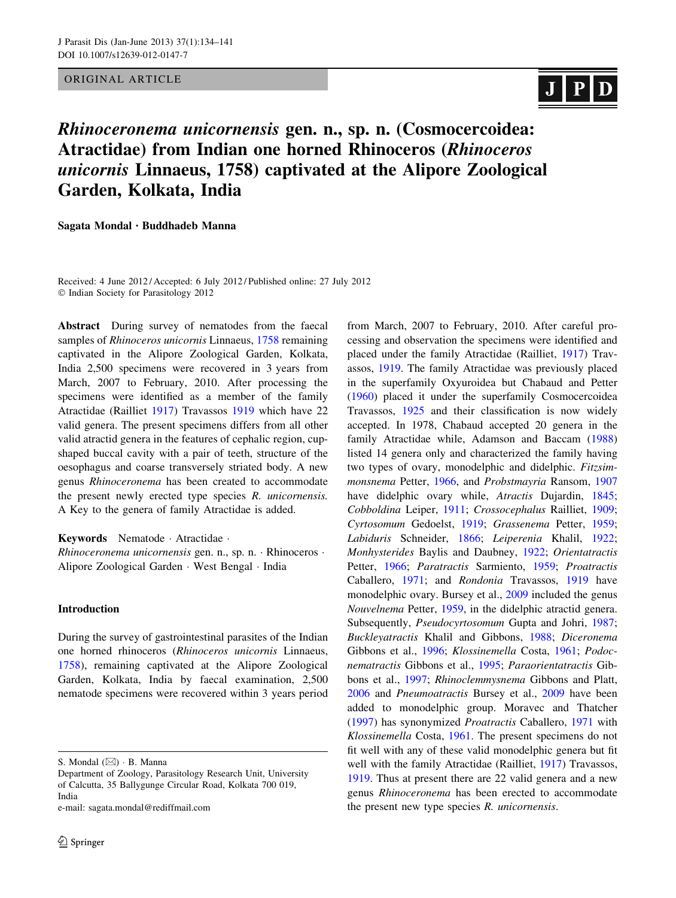# ORIGINAL ARTICLE

# $\vert$  J  $\vert$  P $\vert$

# Rhinoceronema unicornensis gen. n., sp. n. (Cosmocercoidea: Atractidae) from Indian one horned Rhinoceros (Rhinoceros unicornis Linnaeus, 1758) captivated at the Alipore Zoological Garden, Kolkata, India

Sagata Mondal • Buddhadeb Manna

Received: 4 June 2012 / Accepted: 6 July 2012 / Published online: 27 July 2012 - Indian Society for Parasitology 2012

Abstract During survey of nematodes from the faecal samples of *Rhinoceros unicornis* Linnaeus, [1758](#page-6-0) remaining captivated in the Alipore Zoological Garden, Kolkata, India 2,500 specimens were recovered in 3 years from March, 2007 to February, 2010. After processing the specimens were identified as a member of the family Atractidae (Railliet [1917](#page-6-0)) Travassos [1919](#page-7-0) which have 22 valid genera. The present specimens differs from all other valid atractid genera in the features of cephalic region, cupshaped buccal cavity with a pair of teeth, structure of the oesophagus and coarse transversely striated body. A new genus Rhinoceronema has been created to accommodate the present newly erected type species R. unicornensis. A Key to the genera of family Atractidae is added.

Keywords Nematode - Atractidae -

Rhinoceronema unicornensis gen. n., sp. n. · Rhinoceros · Alipore Zoological Garden - West Bengal - India

# Introduction

During the survey of gastrointestinal parasites of the Indian one horned rhinoceros (Rhinoceros unicornis Linnaeus, [1758\)](#page-6-0), remaining captivated at the Alipore Zoological Garden, Kolkata, India by faecal examination, 2,500 nematode specimens were recovered within 3 years period

e-mail: sagata.mondal@rediffmail.com

from March, 2007 to February, 2010. After careful processing and observation the specimens were identified and placed under the family Atractidae (Railliet, [1917\)](#page-6-0) Travassos, [1919](#page-7-0). The family Atractidae was previously placed in the superfamily Oxyuroidea but Chabaud and Petter [\(1960](#page-6-0)) placed it under the superfamily Cosmocercoidea Travassos, [1925](#page-7-0) and their classification is now widely accepted. In 1978, Chabaud accepted 20 genera in the family Atractidae while, Adamson and Baccam ([1988\)](#page-6-0) listed 14 genera only and characterized the family having two types of ovary, monodelphic and didelphic. Fitzsimmonsnema Petter, [1966](#page-6-0), and Probstmayria Ransom, [1907](#page-6-0) have didelphic ovary while, Atractis Dujardin, [1845](#page-6-0); Cobboldina Leiper, [1911](#page-6-0); Crossocephalus Railliet, [1909](#page-6-0); Cyrtosomum Gedoelst, [1919](#page-6-0); Grassenema Petter, [1959](#page-6-0); Labiduris Schneider, [1866;](#page-7-0) Leiperenia Khalil, [1922](#page-6-0); Monhysterides Baylis and Daubney, [1922;](#page-6-0) Orientatractis Petter, [1966](#page-6-0); Paratractis Sarmiento, [1959;](#page-7-0) Proatractis Caballero, [1971](#page-6-0); and Rondonia Travassos, [1919](#page-7-0) have monodelphic ovary. Bursey et al., [2009](#page-6-0) included the genus Nouvelnema Petter, [1959,](#page-6-0) in the didelphic atractid genera. Subsequently, Pseudocyrtosomum Gupta and Johri, [1987](#page-6-0); Buckleyatractis Khalil and Gibbons, [1988](#page-6-0); Diceronema Gibbons et al., [1996;](#page-6-0) Klossinemella Costa, [1961](#page-6-0); Podocnematractis Gibbons et al., [1995](#page-6-0); Paraorientatractis Gibbons et al., [1997](#page-6-0); Rhinoclemmysnema Gibbons and Platt, [2006](#page-6-0) and Pneumoatractis Bursey et al., [2009](#page-6-0) have been added to monodelphic group. Moravec and Thatcher [\(1997](#page-6-0)) has synonymized Proatractis Caballero, [1971](#page-6-0) with Klossinemella Costa, [1961](#page-6-0). The present specimens do not fit well with any of these valid monodelphic genera but fit well with the family Atractidae (Railliet, [1917](#page-6-0)) Travassos, [1919](#page-7-0). Thus at present there are 22 valid genera and a new genus Rhinoceronema has been erected to accommodate the present new type species R. unicornensis.

S. Mondal  $(\boxtimes) \cdot$  B. Manna

Department of Zoology, Parasitology Research Unit, University of Calcutta, 35 Ballygunge Circular Road, Kolkata 700 019, India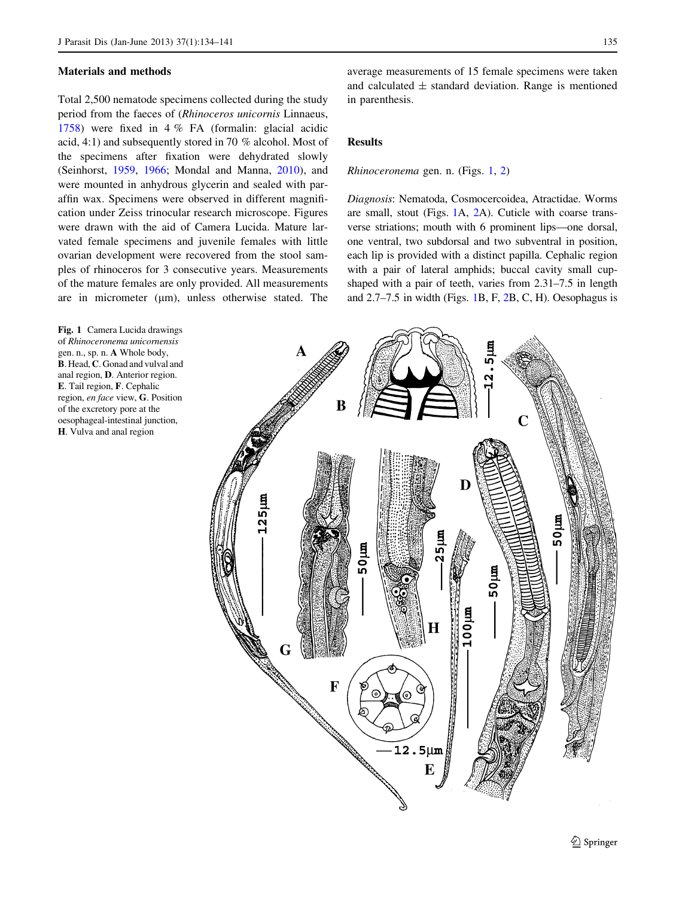#### <span id="page-1-0"></span>Materials and methods

Total 2,500 nematode specimens collected during the study period from the faeces of (Rhinoceros unicornis Linnaeus, [1758\)](#page-6-0) were fixed in 4 % FA (formalin: glacial acidic acid, 4:1) and subsequently stored in 70 % alcohol. Most of the specimens after fixation were dehydrated slowly (Seinhorst, [1959](#page-7-0), [1966](#page-7-0); Mondal and Manna, [2010](#page-6-0)), and were mounted in anhydrous glycerin and sealed with paraffin wax. Specimens were observed in different magnification under Zeiss trinocular research microscope. Figures were drawn with the aid of Camera Lucida. Mature larvated female specimens and juvenile females with little ovarian development were recovered from the stool samples of rhinoceros for 3 consecutive years. Measurements of the mature females are only provided. All measurements are in micrometer  $(\mu m)$ , unless otherwise stated. The

Fig. 1 Camera Lucida drawings of Rhinoceronema unicornensis gen. n., sp. n. A Whole body, B. Head, C. Gonad and vulval and anal region, D. Anterior region. E. Tail region, F. Cephalic region, en face view, G. Position of the excretory pore at the oesophageal-intestinal junction, H. Vulva and anal region

average measurements of 15 female specimens were taken and calculated  $\pm$  standard deviation. Range is mentioned in parenthesis.

# Results

#### Rhinoceronema gen. n. (Figs. 1, [2\)](#page-2-0)

Diagnosis: Nematoda, Cosmocercoidea, Atractidae. Worms are small, stout (Figs. 1A, [2](#page-2-0)A). Cuticle with coarse transverse striations; mouth with 6 prominent lips—one dorsal, one ventral, two subdorsal and two subventral in position, each lip is provided with a distinct papilla. Cephalic region with a pair of lateral amphids; buccal cavity small cupshaped with a pair of teeth, varies from 2.31–7.5 in length and 2.7–7.5 in width (Figs. 1B, F, [2](#page-2-0)B, C, H). Oesophagus is

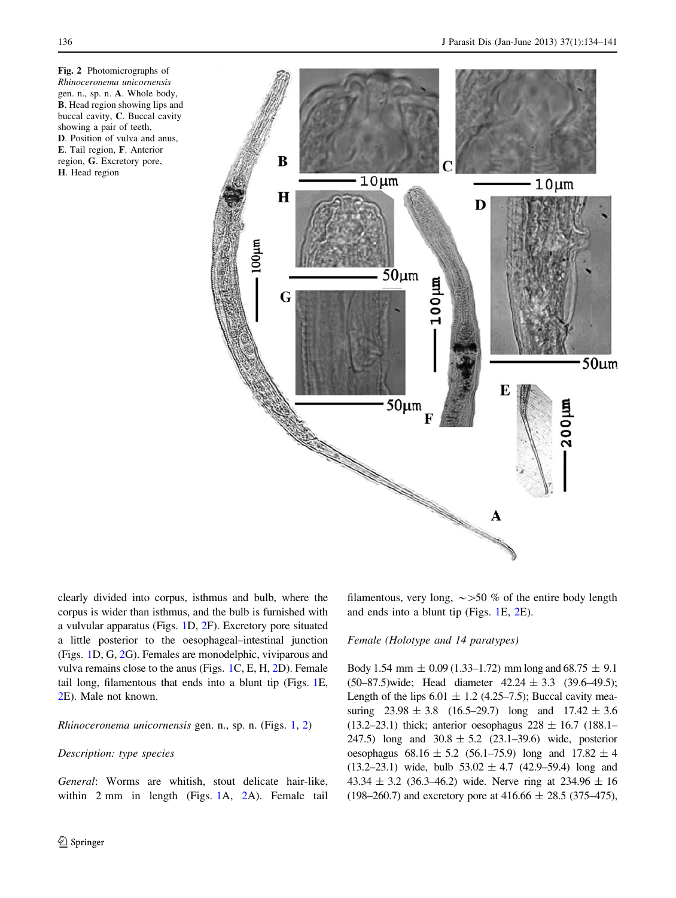<span id="page-2-0"></span>Fig. 2 Photomicrographs of Rhinoceronema unicornensis gen. n., sp. n. A. Whole body, B. Head region showing lips and buccal cavity, C. Buccal cavity showing a pair of teeth, D. Position of vulva and anus, E. Tail region, F. Anterior region, G. Excretory pore, H. Head region



clearly divided into corpus, isthmus and bulb, where the corpus is wider than isthmus, and the bulb is furnished with a vulvular apparatus (Figs. [1](#page-1-0)D, 2F). Excretory pore situated a little posterior to the oesophageal–intestinal junction (Figs. [1D](#page-1-0), G, 2G). Females are monodelphic, viviparous and vulva remains close to the anus (Figs. [1](#page-1-0)C, E, H, 2D). Female tail long, filamentous that ends into a blunt tip (Figs. [1E](#page-1-0), 2E). Male not known.

# Rhinoceronema unicornensis gen. n., sp. n. (Figs. [1](#page-1-0), 2)

## Description: type species

General: Worms are whitish, stout delicate hair-like, within 2 mm in length (Figs. [1A](#page-1-0), 2A). Female tail filamentous, very long,  $\sim$  >50 % of the entire body length and ends into a blunt tip (Figs. [1](#page-1-0)E, 2E).

#### Female (Holotype and 14 paratypes)

Body 1.54 mm  $\pm$  0.09 (1.33–1.72) mm long and 68.75  $\pm$  9.1  $(50-87.5)$  wide; Head diameter  $42.24 \pm 3.3$   $(39.6-49.5)$ ; Length of the lips  $6.01 \pm 1.2$  (4.25–7.5); Buccal cavity measuring  $23.98 \pm 3.8$  (16.5–29.7) long and  $17.42 \pm 3.6$ (13.2–23.1) thick; anterior oesophagus  $228 \pm 16.7$  (188.1– 247.5) long and  $30.8 \pm 5.2$  (23.1–39.6) wide, posterior oesophagus  $68.16 \pm 5.2$  (56.1–75.9) long and  $17.82 \pm 4$  $(13.2–23.1)$  wide, bulb  $53.02 \pm 4.7$   $(42.9–59.4)$  long and 43.34  $\pm$  3.2 (36.3–46.2) wide. Nerve ring at 234.96  $\pm$  16  $(198–260.7)$  and excretory pore at 416.66  $\pm$  28.5 (375–475),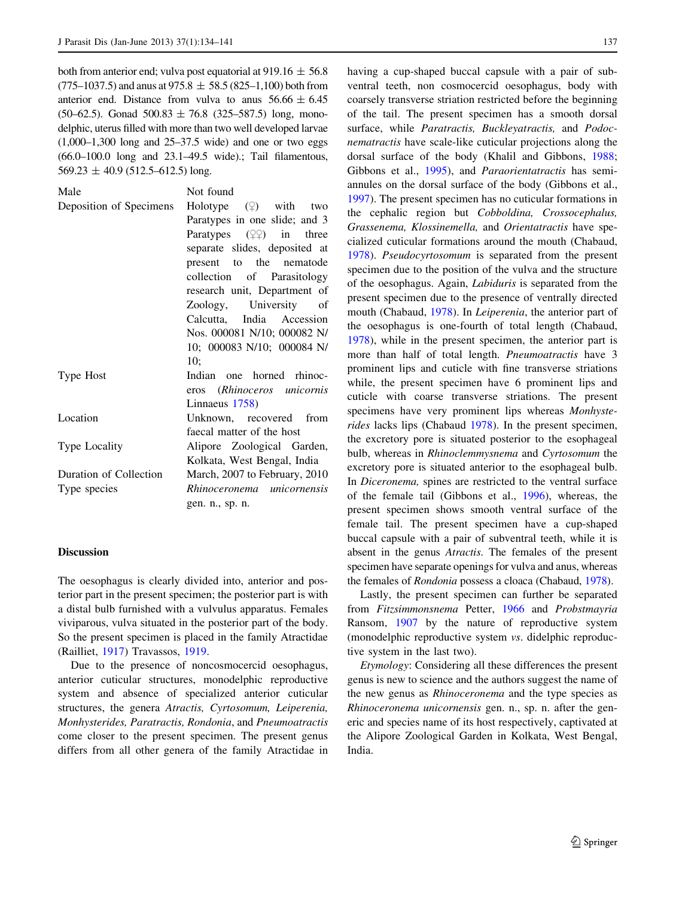both from anterior end; vulva post equatorial at 919.16  $\pm$  56.8  $(775–1037.5)$  and anus at 975.8  $\pm$  58.5 (825–1,100) both from anterior end. Distance from vulva to anus  $56.66 \pm 6.45$  $(50-62.5)$ . Gonad  $500.83 \pm 76.8$   $(325-587.5)$  long, monodelphic, uterus filled with more than two well developed larvae  $(1,000-1,300)$  long and  $25-37.5$  wide) and one or two eggs (66.0–100.0 long and 23.1–49.5 wide).; Tail filamentous,  $569.23 \pm 40.9$  (512.5–612.5) long.

| Male                    | Not found                                     |
|-------------------------|-----------------------------------------------|
| Deposition of Specimens | Holotype $(\varphi)$ with two                 |
|                         | Paratypes in one slide; and 3                 |
|                         | Paratypes $(\mathcal{Q}\mathcal{Q})$ in three |
|                         | separate slides, deposited at                 |
|                         | present to the nematode                       |
|                         | collection of Parasitology                    |
|                         | research unit, Department of                  |
|                         | Zoology, University of                        |
|                         | Calcutta, India Accession                     |
|                         | Nos. 000081 N/10; 000082 N/                   |
|                         | 10; 000083 N/10; 000084 N/                    |
|                         | 10:                                           |
| Type Host               | Indian one horned rhinoc-                     |
|                         | eros (Rhinoceros unicornis                    |
|                         | Linnaeus 1758)                                |
| Location                | Unknown, recovered from                       |
|                         | faecal matter of the host                     |
| Type Locality           | Alipore Zoological Garden,                    |
|                         | Kolkata, West Bengal, India                   |
| Duration of Collection  | March, 2007 to February, 2010                 |
| Type species            | Rhinoceronema unicornensis                    |
|                         | gen. n., sp. n.                               |
|                         |                                               |

## Discussion

The oesophagus is clearly divided into, anterior and posterior part in the present specimen; the posterior part is with a distal bulb furnished with a vulvulus apparatus. Females viviparous, vulva situated in the posterior part of the body. So the present specimen is placed in the family Atractidae (Railliet, [1917\)](#page-6-0) Travassos, [1919](#page-7-0).

Due to the presence of noncosmocercid oesophagus, anterior cuticular structures, monodelphic reproductive system and absence of specialized anterior cuticular structures, the genera Atractis, Cyrtosomum, Leiperenia, Monhysterides, Paratractis, Rondonia, and Pneumoatractis come closer to the present specimen. The present genus differs from all other genera of the family Atractidae in

having a cup-shaped buccal capsule with a pair of subventral teeth, non cosmocercid oesophagus, body with coarsely transverse striation restricted before the beginning of the tail. The present specimen has a smooth dorsal surface, while Paratractis, Buckleyatractis, and Podocnematractis have scale-like cuticular projections along the dorsal surface of the body (Khalil and Gibbons, [1988](#page-6-0); Gibbons et al., [1995](#page-6-0)), and *Paraorientatractis* has semiannules on the dorsal surface of the body (Gibbons et al., [1997](#page-6-0)). The present specimen has no cuticular formations in the cephalic region but Cobboldina, Crossocephalus, Grassenema, Klossinemella, and Orientatractis have specialized cuticular formations around the mouth (Chabaud, [1978](#page-6-0)). Pseudocyrtosomum is separated from the present specimen due to the position of the vulva and the structure of the oesophagus. Again, Labiduris is separated from the present specimen due to the presence of ventrally directed mouth (Chabaud, [1978](#page-6-0)). In Leiperenia, the anterior part of the oesophagus is one-fourth of total length (Chabaud, [1978](#page-6-0)), while in the present specimen, the anterior part is more than half of total length. Pneumoatractis have 3 prominent lips and cuticle with fine transverse striations while, the present specimen have 6 prominent lips and cuticle with coarse transverse striations. The present specimens have very prominent lips whereas Monhysterides lacks lips (Chabaud [1978](#page-6-0)). In the present specimen, the excretory pore is situated posterior to the esophageal bulb, whereas in Rhinoclemmysnema and Cyrtosomum the excretory pore is situated anterior to the esophageal bulb. In Diceronema, spines are restricted to the ventral surface of the female tail (Gibbons et al., [1996](#page-6-0)), whereas, the present specimen shows smooth ventral surface of the female tail. The present specimen have a cup-shaped buccal capsule with a pair of subventral teeth, while it is absent in the genus Atractis. The females of the present specimen have separate openings for vulva and anus, whereas the females of Rondonia possess a cloaca (Chabaud, [1978](#page-6-0)).

Lastly, the present specimen can further be separated from Fitzsimmonsnema Petter, [1966](#page-6-0) and Probstmayria Ransom, [1907](#page-6-0) by the nature of reproductive system (monodelphic reproductive system vs. didelphic reproductive system in the last two).

Etymology: Considering all these differences the present genus is new to science and the authors suggest the name of the new genus as Rhinoceronema and the type species as Rhinoceronema unicornensis gen. n., sp. n. after the generic and species name of its host respectively, captivated at the Alipore Zoological Garden in Kolkata, West Bengal, India.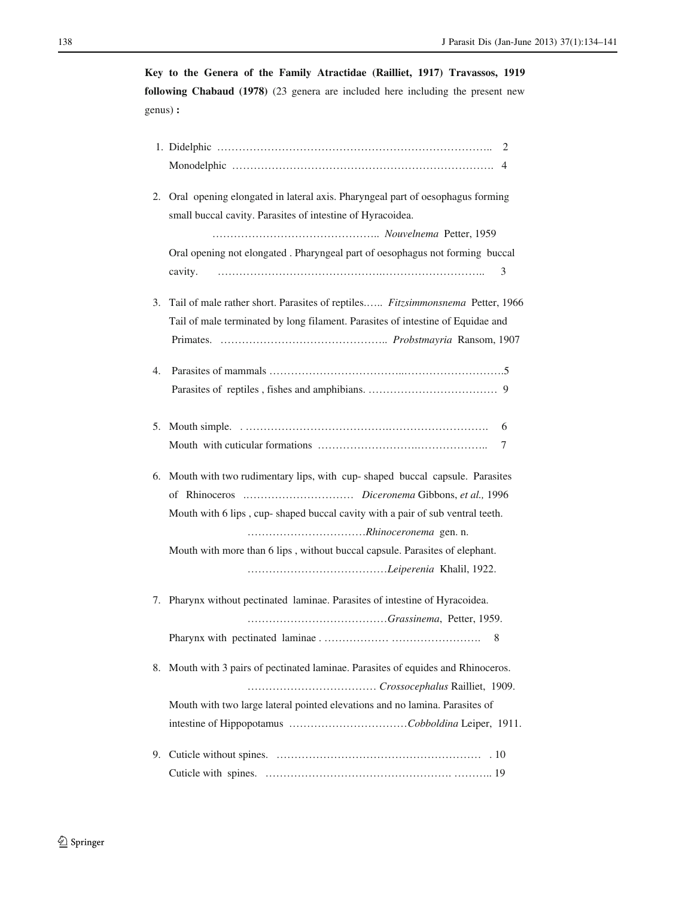**Key to the Genera of the Family Atractidae (Railliet, 1917) Travassos, 1919 following Chabaud (1978)** (23 genera are included here including the present new genus) **:** 

| 2. | Oral opening elongated in lateral axis. Pharyngeal part of oesophagus forming     |  |
|----|-----------------------------------------------------------------------------------|--|
|    | small buccal cavity. Parasites of intestine of Hyracoidea.                        |  |
|    |                                                                                   |  |
|    | Oral opening not elongated . Pharyngeal part of oesophagus not forming buccal     |  |
|    | 3<br>cavity.                                                                      |  |
|    |                                                                                   |  |
|    | 3. Tail of male rather short. Parasites of reptiles Fitzsimmonsnema Petter, 1966  |  |
|    | Tail of male terminated by long filament. Parasites of intestine of Equidae and   |  |
|    |                                                                                   |  |
| 4. |                                                                                   |  |
|    |                                                                                   |  |
|    |                                                                                   |  |
| 5. | 6                                                                                 |  |
|    | 7                                                                                 |  |
|    |                                                                                   |  |
| 6. | Mouth with two rudimentary lips, with cup-shaped buccal capsule. Parasites        |  |
|    |                                                                                   |  |
|    | Mouth with 6 lips, cup-shaped buccal cavity with a pair of sub ventral teeth.     |  |
|    |                                                                                   |  |
|    | Mouth with more than 6 lips, without buccal capsule. Parasites of elephant.       |  |
|    |                                                                                   |  |
| 7. | Pharynx without pectinated laminae. Parasites of intestine of Hyracoidea.         |  |
|    |                                                                                   |  |
|    | 8                                                                                 |  |
|    |                                                                                   |  |
|    | 8. Mouth with 3 pairs of pectinated laminae. Parasites of equides and Rhinoceros. |  |
|    |                                                                                   |  |
|    | Mouth with two large lateral pointed elevations and no lamina. Parasites of       |  |
|    |                                                                                   |  |
| 9. |                                                                                   |  |
|    |                                                                                   |  |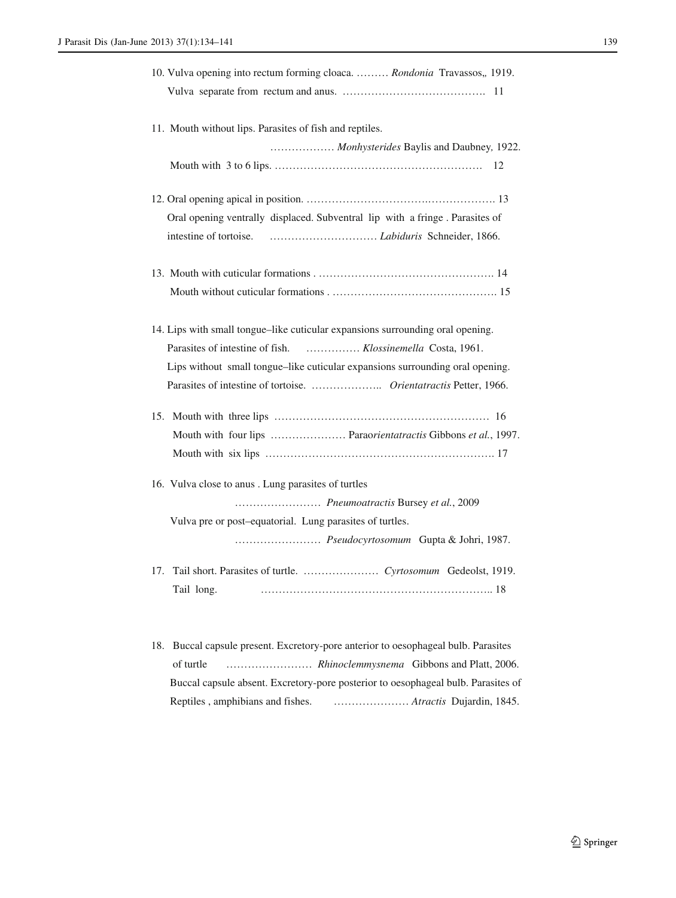| 10. Vulva opening into rectum forming cloaca.  Rondonia Travassos,, 1919.      |
|--------------------------------------------------------------------------------|
|                                                                                |
| 11. Mouth without lips. Parasites of fish and reptiles.                        |
| Monhysterides Baylis and Daubney, 1922.                                        |
|                                                                                |
|                                                                                |
| Oral opening ventrally displaced. Subventral lip with a fringe. Parasites of   |
|                                                                                |
|                                                                                |
|                                                                                |
| 14. Lips with small tongue–like cuticular expansions surrounding oral opening. |
| Parasites of intestine of fish.  Klossinemella Costa, 1961.                    |
| Lips without small tongue-like cuticular expansions surrounding oral opening.  |
|                                                                                |
| 15.                                                                            |
| Mouth with four lips  Paraorientatractis Gibbons et al., 1997.                 |
|                                                                                |
| 16. Vulva close to anus . Lung parasites of turtles                            |
| Pneumoatractis Bursey et al., 2009                                             |
| Vulva pre or post-equatorial. Lung parasites of turtles.                       |
| Pseudocyrtosomum Gupta & Johri, 1987.                                          |
|                                                                                |
| Tail long.                                                                     |

18. Buccal capsule present. Excretory-pore anterior to oesophageal bulb. Parasites of turtle …………………… *Rhinoclemmysnema* Gibbons and Platt, 2006. Buccal capsule absent. Excretory-pore posterior to oesophageal bulb. Parasites of Reptiles , amphibians and fishes. ………………… *Atractis* Dujardin, 1845.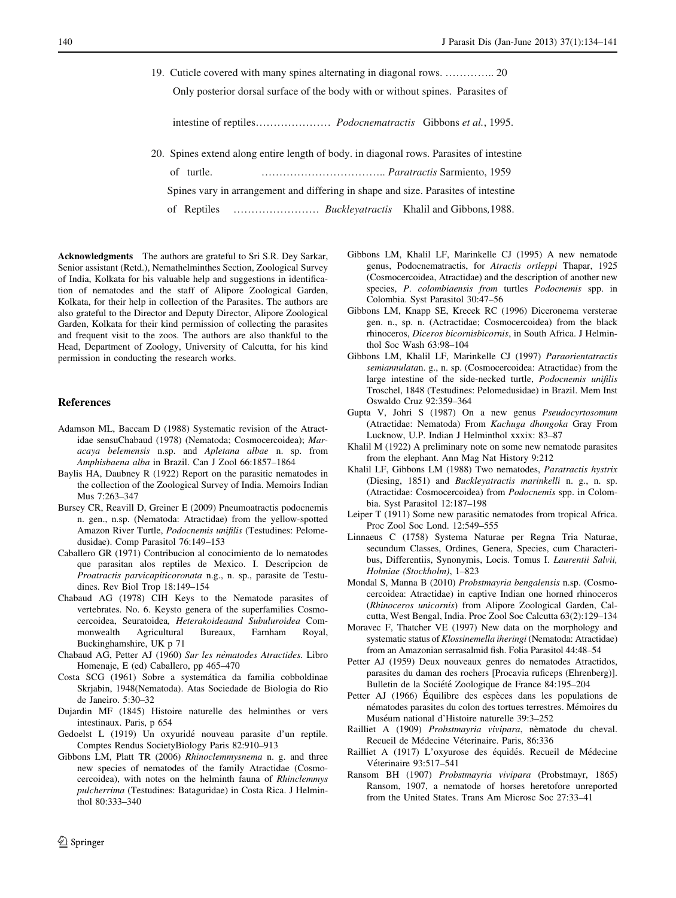<span id="page-6-0"></span>19. Cuticle covered with many spines alternating in diagonal rows. ………….. 20

Only posterior dorsal surface of the body with or without spines. Parasites of

intestine of reptiles………………… *Podocnematractis* Gibbons *et al.*, 1995.

20. Spines extend along entire length of body. in diagonal rows. Parasites of intestine

of turtle. …………………………….. *Paratractis* Sarmiento, 1959

Spines vary in arrangement and differing in shape and size. Parasites of intestine

of Reptiles …………………… *Buckleyatractis* Khalil and Gibbons*,*1988.

Acknowledgments The authors are grateful to Sri S.R. Dey Sarkar, Senior assistant (Retd.), Nemathelminthes Section, Zoological Survey of India, Kolkata for his valuable help and suggestions in identification of nematodes and the staff of Alipore Zoological Garden, Kolkata, for their help in collection of the Parasites. The authors are also grateful to the Director and Deputy Director, Alipore Zoological Garden, Kolkata for their kind permission of collecting the parasites and frequent visit to the zoos. The authors are also thankful to the Head, Department of Zoology, University of Calcutta, for his kind permission in conducting the research works.

#### **References**

- Adamson ML, Baccam D (1988) Systematic revision of the Atractidae sensuChabaud (1978) (Nematoda; Cosmocercoidea); Maracaya belemensis n.sp. and Apletana albae n. sp. from Amphisbaena alba in Brazil. Can J Zool 66:1857–1864
- Baylis HA, Daubney R (1922) Report on the parasitic nematodes in the collection of the Zoological Survey of India. Memoirs Indian Mus 7:263–347
- Bursey CR, Reavill D, Greiner E (2009) Pneumoatractis podocnemis n. gen., n.sp. (Nematoda: Atractidae) from the yellow-spotted Amazon River Turtle, Podocnemis unifilis (Testudines: Pelomedusidae). Comp Parasitol 76:149–153
- Caballero GR (1971) Contribucion al conocimiento de lo nematodes que parasitan alos reptiles de Mexico. I. Descripcion de Proatractis parvicapiticoronata n.g., n. sp., parasite de Testudines. Rev Biol Trop 18:149–154
- Chabaud AG (1978) CIH Keys to the Nematode parasites of vertebrates. No. 6. Keysto genera of the superfamilies Cosmocercoidea, Seuratoidea, Heterakoideaand Subuluroidea Commonwealth Agricultural Bureaux, Farnham Royal, Buckinghamshire, UK p 71
- Chabaud AG, Petter AJ (1960) Sur les nèmatodes Atractides. Libro Homenaje, E (ed) Caballero, pp 465–470
- Costa SCG (1961) Sobre a systemática da familia cobboldinae Skrjabin, 1948(Nematoda). Atas Sociedade de Biologia do Rio de Janeiro. 5:30–32
- Dujardin MF (1845) Histoire naturelle des helminthes or vers intestinaux. Paris, p 654
- Gedoelst L (1919) Un oxyuridé nouveau parasite d'un reptile. Comptes Rendus SocietyBiology Paris 82:910–913
- Gibbons LM, Platt TR (2006) Rhinoclemmysnema n. g. and three new species of nematodes of the family Atractidae (Cosmocercoidea), with notes on the helminth fauna of Rhinclemmys pulcherrima (Testudines: Bataguridae) in Costa Rica. J Helminthol 80:333–340
- Gibbons LM, Khalil LF, Marinkelle CJ (1995) A new nematode genus, Podocnematractis, for Atractis ortleppi Thapar, 1925 (Cosmocercoidea, Atractidae) and the description of another new species, P. colombiaensis from turtles Podocnemis spp. in Colombia. Syst Parasitol 30:47–56
- Gibbons LM, Knapp SE, Krecek RC (1996) Diceronema versterae gen. n., sp. n. (Actractidae; Cosmocercoidea) from the black rhinoceros, Diceros bicornisbicornis, in South Africa. J Helminthol Soc Wash 63:98–104
- Gibbons LM, Khalil LF, Marinkelle CJ (1997) Paraorientatractis semiannulatan. g., n. sp. (Cosmocercoidea: Atractidae) from the large intestine of the side-necked turtle, Podocnemis unifilis Troschel, 1848 (Testudines: Pelomedusidae) in Brazil. Mem Inst Oswaldo Cruz 92:359–364
- Gupta V, Johri S (1987) On a new genus Pseudocyrtosomum (Atractidae: Nematoda) From Kachuga dhongoka Gray From Lucknow, U.P. Indian J Helminthol xxxix: 83–87
- Khalil M (1922) A preliminary note on some new nematode parasites from the elephant. Ann Mag Nat History 9:212
- Khalil LF, Gibbons LM (1988) Two nematodes, Paratractis hystrix (Diesing, 1851) and Buckleyatractis marinkelli n. g., n. sp. (Atractidae: Cosmocercoidea) from Podocnemis spp. in Colombia. Syst Parasitol 12:187–198
- Leiper T (1911) Some new parasitic nematodes from tropical Africa. Proc Zool Soc Lond. 12:549–555
- Linnaeus C (1758) Systema Naturae per Regna Tria Naturae, secundum Classes, Ordines, Genera, Species, cum Characteribus, Differentiis, Synonymis, Locis. Tomus I. Laurentii Salvii, Holmiae (Stockholm), 1–823
- Mondal S, Manna B (2010) Probstmayria bengalensis n.sp. (Cosmocercoidea: Atractidae) in captive Indian one horned rhinoceros (Rhinoceros unicornis) from Alipore Zoological Garden, Calcutta, West Bengal, India. Proc Zool Soc Calcutta 63(2):129–134
- Moravec F, Thatcher VE (1997) New data on the morphology and systematic status of Klossinemella iheringi (Nematoda: Atractidae) from an Amazonian serrasalmid fish. Folia Parasitol 44:48–54
- Petter AJ (1959) Deux nouveaux genres do nematodes Atractidos, parasites du daman des rochers [Procavia ruficeps (Ehrenberg)]. Bulletin de la Société Zoologique de France 84:195–204
- Petter AJ (1966) Équilibre des espèces dans les populations de nématodes parasites du colon des tortues terrestres. Mémoires du Muséum national d'Histoire naturelle 39:3-252
- Railliet A (1909) Probstmayria vivipara, nèmatode du cheval. Recueil de Médecine Véterinaire. Paris, 86:336
- Railliet A (1917) L'oxyurose des équidés. Recueil de Médecine Véterinaire 93:517-541
- Ransom BH (1907) Probstmayria vivipara (Probstmayr, 1865) Ransom, 1907, a nematode of horses heretofore unreported from the United States. Trans Am Microsc Soc 27:33–41